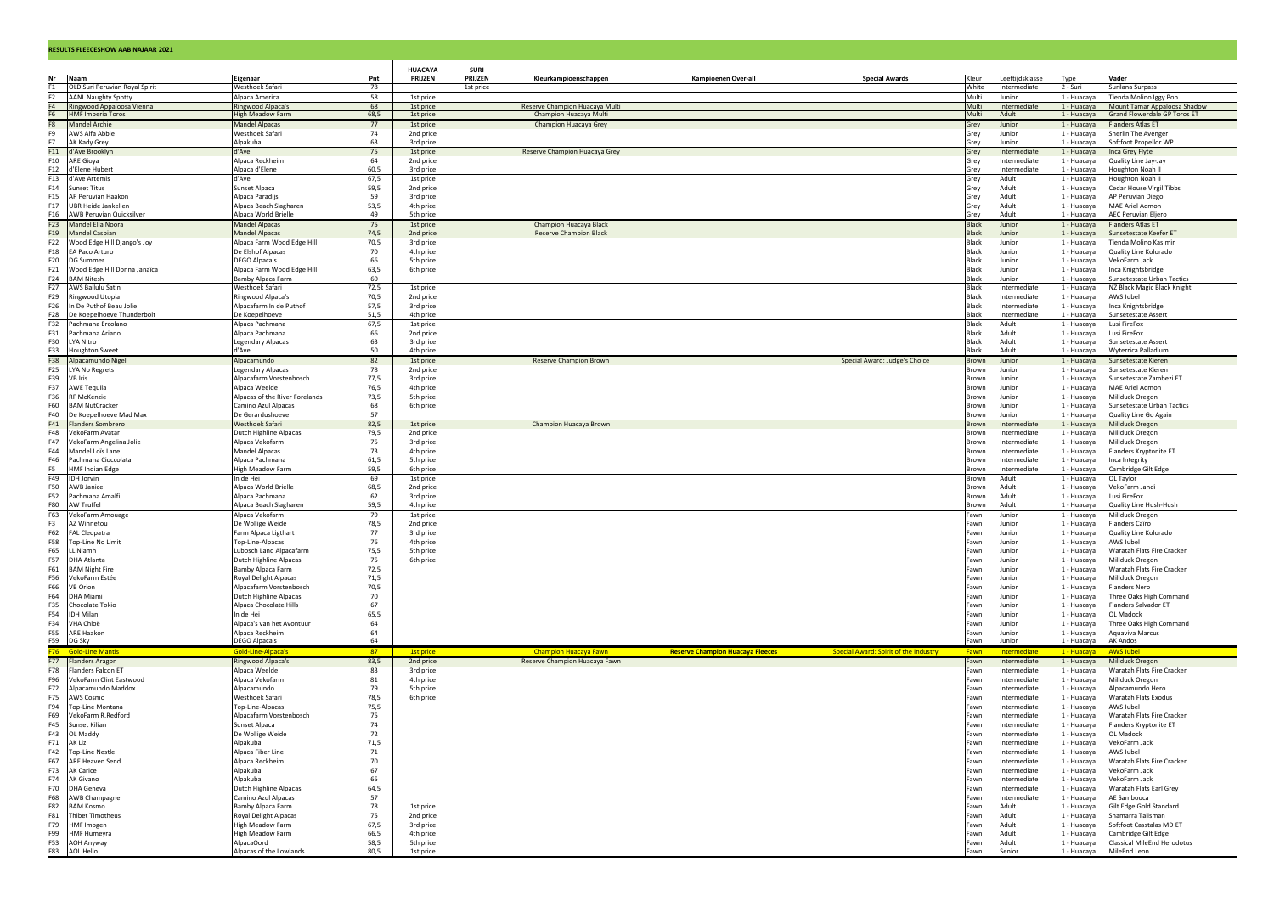|                | <b>RESULTS FLEECESHOW AAB NAJAAR 2021</b>       |                                                   |              |                        |             |                                |                                         |                                       |                       |                              |                            |                                                     |
|----------------|-------------------------------------------------|---------------------------------------------------|--------------|------------------------|-------------|--------------------------------|-----------------------------------------|---------------------------------------|-----------------------|------------------------------|----------------------------|-----------------------------------------------------|
|                |                                                 |                                                   |              | <b>HUACAYA</b>         | <b>SURI</b> |                                |                                         |                                       |                       |                              |                            |                                                     |
| Nr             | Naam                                            | Eigenaar                                          | Pnt          | PRIJZEN                | PRIJZEN     | Kleurkampioenschappen          | Kampioenen Over-all                     | <b>Special Awards</b>                 | Kleur                 | Leeftijdsklasse              | Type                       | Vader                                               |
| $\frac{2}{11}$ | OLD Suri Peruvian Royal Spirit                  | Westhoek Safar                                    | 78           |                        | 1st price   |                                |                                         |                                       | White                 | Intermediate                 | 2 - Suri                   | Surilana Surpass                                    |
| F2             | <b>AANL Naughty Spotty</b>                      | Alpaca America                                    | 58           | 1st price              |             |                                |                                         |                                       | Multi                 | Junior                       | 1 - Huacava                | Tienda Molino Iggy Pop                              |
| F <sub>4</sub> | tingwood Appaloosa Vienna                       | Ringwood Alpaca's                                 | 68           | 1st price              |             | Reserve Champion Huacaya Multi |                                         |                                       | Multi                 | Intermediate                 | 1 - Huacaya                | Mount Tamar Appaloosa Shadow                        |
| F <sub>6</sub> | <b>HMF Imperia Toros</b>                        | High Meadow Farm                                  | 68,5         | 1st price              |             | Champion Huacaya Multi         |                                         |                                       | Multi                 | Adult                        | 1 - Huacaya                | Grand Flowerdale GP Toros ET                        |
| F8<br>F9       | Mandel Archie<br>WS Alfa Abbie                  | Mandel Alpacas<br>Westhoek Safari                 | 77<br>74     | 1st price<br>2nd price |             | Champion Huacaya Grey          |                                         |                                       | Grey<br>Grey          | Junior<br>Junior             | 1 - Huacava<br>1 - Huacava | <b>Flanders Atlas ET</b><br>Sherlin The Avenger     |
| F7             | <b>K Kady Grey</b>                              | Alpakuba                                          | 63           | 3rd price              |             |                                |                                         |                                       | Grev                  | Junior                       | 1 - Huacava                | Softfoot Propellor WP                               |
| F11            | d'Ave Brooklyn                                  | d'Ave                                             | 75           | 1st price              |             | Reserve Champion Huacaya Grey  |                                         |                                       | Grey                  | Intermediate                 | 1 - Huacaya                | Inca Grey Flyte                                     |
| F10            | <b>ARE Gioya</b>                                | Alpaca Reckheim                                   | 64           | 2nd price              |             |                                |                                         |                                       | Grev                  | Intermediate                 | 1 - Huacava                | Quality Line Jay-Jay                                |
| F12            | d'Elene Hubert                                  | Alpaca d'Elene                                    | 60,5         | 3rd price              |             |                                |                                         |                                       | Grev                  | Intermediate                 | 1 - Huacava                | Houghton Noah II                                    |
| F13            | l'Ave Artemis                                   | d'Ave                                             | 67,5         | 1st price              |             |                                |                                         |                                       | Grey                  | Adult                        | 1 - Huacava                | Houghton Noah II                                    |
| F14<br>F15     | Sunset Titus<br>AP Peruvian Haakon              | Sunset Alpaca<br>Alpaca Paradijs                  | 59,5<br>59   | 2nd price<br>3rd price |             |                                |                                         |                                       | Grev<br>Grey          | Adult<br>Adult               | 1 - Huacava<br>1 - Huacava | Cedar House Virgil Tibbs<br>AP Peruvian Diego       |
| F17            | UBR Heide Jankelien                             | Alpaca Beach Slagharen                            | 53,5         | 4th price              |             |                                |                                         |                                       | Grev                  | Adult                        | 1 - Huacava                | <b>MAE Ariel Admon</b>                              |
| F16            | <b>AWB Peruvian Quicksilver</b>                 | Alpaca World Brielle                              | 49           | 5th price              |             |                                |                                         |                                       | Grey                  | Adult                        | 1 - Huacaya                | AEC Peruvian Eljero                                 |
| F23            | Aandel Ella Noora                               | Mandel Alpacas                                    | 75           | 1st price              |             | Champion Huacaya Black         |                                         |                                       | <b>Black</b>          | Junior                       | 1 - Huacava                | <b>Flanders Atlas ET</b>                            |
| F19            | Mandel Caspian                                  | Mandel Alpacas                                    | 74,5         | 2nd price              |             | <b>Reserve Champion Black</b>  |                                         |                                       | <b>Black</b>          | Junior                       | 1 - Huacava                | Sunsetestate Keefer ET                              |
| F22            | Wood Edge Hill Django's Joy                     | Alpaca Farm Wood Edge Hill                        | 70,5         | 3rd price              |             |                                |                                         |                                       | <b>Black</b>          | Junior                       | 1 - Huacava                | Tienda Molino Kasimir                               |
| F18            | EA Paco Arturo                                  | De Elshof Alpacas                                 | 70           | 4th price              |             |                                |                                         |                                       | Black                 | Junior                       | 1 - Huacava                | Quality Line Kolorado                               |
| F20<br>F21     | DG Summer<br>Wood Edge Hill Donna Janaïca       | DEGO Alpaca's<br>Alpaca Farm Wood Edge Hill       | 66<br>63,5   | 5th price<br>6th price |             |                                |                                         |                                       | Black<br>Black        | Junior<br>Junior             | 1 - Huacava<br>1 - Huacava | VekoFarm Jack<br>Inca Knightsbridge                 |
| F24            | <b>AM Nitesh</b>                                | Bamby Alpaca Farm                                 | 60           |                        |             |                                |                                         |                                       | Black                 | Junior                       | 1 - Huacava                | Sunsetestate Urban Tactics                          |
| F27            | WS Bailulu Satin                                | Westhoek Safari                                   | 72,5         | 1st price              |             |                                |                                         |                                       | <b>Black</b>          | Intermediate                 | 1 - Huacava                | NZ Black Magic Black Knight                         |
| F29            | lingwood Utopia                                 | Ringwood Alpaca's                                 | 70,5         | 2nd price              |             |                                |                                         |                                       | <b>Black</b>          | Intermediate                 | 1 - Huacava                | AWS Jubel                                           |
| F26            | n De Puthof Beau Jolie                          | Alpacafarm In de Puthof                           | 57,5         | 3rd price              |             |                                |                                         |                                       | Black                 | Intermediate                 | 1 - Huacaya                | Inca Knightsbridge                                  |
| F28            | De Koepelhoeve Thunderbolt                      | De Koepelhoeve                                    | 51,5         | 4th price              |             |                                |                                         |                                       | Black                 | Intermediate                 | 1 - Huacava                | Sunsetestate Assert                                 |
| F32            | achmana Ercolano                                | Alpaca Pachmana                                   | 67,5         | 1st price              |             |                                |                                         |                                       | <b>Black</b>          | Adult                        | 1 - Huacava                | Lusi FireFox                                        |
| F31<br>F30     | Pachmana Ariano<br>LYA Nitro                    | Alpaca Pachmana                                   | 66<br>63     | 2nd price<br>3rd price |             |                                |                                         |                                       | Black<br>Black        | Adult<br>Adult               | 1 - Huacava<br>1 - Huacava | Lusi FireFox<br>Sunsetestate Assert                 |
| F33            | loughton Sweet                                  | Legendary Alpacas<br>d'Ave                        | 50           | 4th price              |             |                                |                                         |                                       | Black                 | Adult                        | 1 - Huacaya                | Wyterrica Palladium                                 |
| F38            | <b>Joacamundo Nige</b>                          | Alpacamundo                                       | 82           | 1st price              |             | Reserve Champion Brown         |                                         | Special Award: Judge's Choice         | Brown                 | Junior                       | 1 - Huacaya                | Sunsetestate Kieren                                 |
| F25            | LYA No Regrets                                  | egendary Alpacas                                  | 78           | 2nd price              |             |                                |                                         |                                       | 3rown                 | Junior                       | 1 - Huacava                | Sunsetestate Kieren                                 |
| F39            | VB Iris                                         | Alpacafarm Vorstenbosch                           | 77,5         | 3rd price              |             |                                |                                         |                                       | Brown                 | Junior                       | 1 - Huacava                | Sunsetestate Zambezi ET                             |
| F37            | <b>AWE Tequila</b>                              | Alpaca Weelde                                     | 76,5         | 4th price              |             |                                |                                         |                                       | Brown                 | Junior                       | 1 - Huacava                | MAE Ariel Admon                                     |
| F36            | RF McKenzie                                     | Alpacas of the River Forelands                    | 73,5         | 5th price              |             |                                |                                         |                                       | Brown                 | Junior                       | 1 - Huacava                | Millduck Oregon                                     |
| F60<br>F40     | <b>BAM NutCracker</b><br>De Koepelhoeve Mad Max | Camino Azul Alpacas<br>De Gerardushoeve           | 68<br>57     | 6th price              |             |                                |                                         |                                       | Brown<br><b>Brown</b> | Junior<br>Junior             | 1 - Huacava<br>1 - Huacava | Sunsetestate Urban Tactics<br>Quality Line Go Again |
| F41            | landers Sombrero                                | Westhoek Safari                                   | 82,5         | 1st price              |             | Champion Huacaya Brown         |                                         |                                       | Brown                 | Intermediate                 | 1 - Huacava                | Millduck Oregon                                     |
| F48            | /ekoFarm Avatar                                 | Dutch Highline Alpacas                            | 79,5         | 2nd price              |             |                                |                                         |                                       | Brown                 | Intermediate                 | 1 - Huacava                | Millduck Oregon                                     |
| F47            | /ekoFarm Angelina Jolie                         | Alpaca Vekofarm                                   | 75           | 3rd price              |             |                                |                                         |                                       | Brown                 | Intermediate                 | 1 - Huacava                | Millduck Oregon                                     |
| F44            | Mandel Loïs Lane                                | Mandel Alpacas                                    | 73           | 4th price              |             |                                |                                         |                                       | Brown                 | Intermediate                 | 1 - Huacava                | Flanders Kryptonite ET                              |
| F46            | Pachmana Cioccolata                             | Alpaca Pachmana                                   | 61,5         | 5th price              |             |                                |                                         |                                       | Brown                 | Intermediate                 | 1 - Huacaya                | Inca Integrity                                      |
| F <sub>5</sub> | <b>IMF</b> Indian Edge                          | ligh Meadow Farm                                  | 59,5         | 6th price              |             |                                |                                         |                                       | 3rown                 | Intermediate                 | 1 - Huacava                | Cambridge Gilt Edge                                 |
| F49            | DH Jorvin                                       | In de Hei                                         | 69           | 1st price              |             |                                |                                         |                                       | Brown                 | Adult                        | 1 - Huacava                | OL Taylor                                           |
| F50<br>F52     | <b>AWB Janice</b><br>Pachmana Amalfi            | Alpaca World Brielle<br>Alpaca Pachmana           | 68,5<br>62   | 2nd price<br>3rd price |             |                                |                                         |                                       | Brown<br>Brown        | Adult<br>Adult               | 1 - Huacava<br>1 - Huacava | VekoFarm Jandi<br>Lusi FireFox                      |
| F80            | W Truffel                                       | Alpaca Beach Slagharen                            | 59,5         | 4th price              |             |                                |                                         |                                       | rowr                  | Adult                        | 1 - Huacaya                | Quality Line Hush-Hush                              |
| F63            | ekoFarm Amouage                                 | Alpaca Vekofarm                                   | 79           | 1st price              |             |                                |                                         |                                       | Fawn                  | Junior                       | 1 - Huacava                | Millduck Oregon                                     |
| F3             | AZ Winnetou                                     | De Wollige Weide                                  | 78,5         | 2nd price              |             |                                |                                         |                                       | Fawn                  | Junior                       | 1 - Huacava                | Flanders Caïro                                      |
| F62            | AL Cleopatra                                    | Farm Alpaca Ligthart                              | 77           | 3rd price              |             |                                |                                         |                                       | Fawn                  | Junior                       | 1 - Huacava                | Quality Line Kolorado                               |
| F58            | op-Line No Limit                                | Top-Line-Alpacas                                  | 76           | 4th price              |             |                                |                                         |                                       | Fawn                  | Junior                       | 1 - Huacava                | AWS Jubel                                           |
| F65            | L Niamh                                         | ubosch Land Alpacafarm                            | 75,5         | 5th price              |             |                                |                                         |                                       | Fawn                  | Junior                       | 1 - Huacava                | Waratah Flats Fire Cracker                          |
| F57            | <b>OHA Atlanta</b>                              | Dutch Highline Alpacas                            | 75           | 6th price              |             |                                |                                         |                                       | Fawn                  | Junior                       | 1 - Huacava                | Millduck Oregon                                     |
| F61<br>F56     | <b>BAM Night Fire</b><br>/ekoFarm Estée         | Bamby Alpaca Farm<br>Royal Delight Alpacas        | 72,5<br>71,5 |                        |             |                                |                                         |                                       | Fawn<br>Fawn          | Junior<br>Junior             | 1 - Huacava<br>1 - Huacava | Waratah Flats Fire Cracker<br>Millduck Oregon       |
| F66            | VB Orion                                        | Alpacafarm Vorstenbosch                           | 70,5         |                        |             |                                |                                         |                                       | Fawn                  | Junior                       | 1 - Huacava                | Flanders Nero                                       |
| F64            | DHA Miami                                       | Dutch Highline Alpacas                            | 70           |                        |             |                                |                                         |                                       | Fawn                  | Junior                       | 1 - Huacava                | Three Oaks High Command                             |
| F35            | hocolate Tokio                                  | Alpaca Chocolate Hills                            | 67           |                        |             |                                |                                         |                                       | Fawn                  | Junior                       | 1 - Huacava                | <b>Flanders Salvador ET</b>                         |
| F54            | DH Milan                                        | In de Hei                                         | 65,5         |                        |             |                                |                                         |                                       | Fawn                  | Junior                       | 1 - Huacava                | OL Madock                                           |
| F34            | VHA Chloë                                       | Alpaca's van het Avontuur                         | 64           |                        |             |                                |                                         |                                       | Fawn                  | Junior                       | 1 - Huacava                | Three Oaks High Command                             |
| F55<br>F59     | <b>ARE Haakon</b><br>DG Sky                     | Alpaca Reckheim<br>DEGO Alpaca's                  | 64<br>64     |                        |             |                                |                                         |                                       | Fawn<br>Fawn          | Junior<br>Junior             | 1 - Huacava<br>1 - Huacaya | <b>Aquaviva Marcus</b><br>AK Andos                  |
|                | <b>76</b> Gold-Line Mantis                      | Gold-Line-Alpaca                                  |              |                        |             | <b>Champion Huacava Fawn</b>   | <b>Reserve Champion Huacaya Fleeces</b> | Special Award: Spirit of the Industry | Fawn                  | Intermediate                 |                            | <b>AWS Jubel</b>                                    |
| F77            | landers Aragon                                  | Ringwood Alpaca's                                 | 87<br>83,5   | 1st price<br>2nd price |             | Reserve Champion Huacaya Fawn  |                                         |                                       | Fawn                  | Intermediate                 | 1 - Huacaya<br>1 - Huacaya | Millduck Oregon                                     |
| F78            | landers Falcon ET                               | Alpaca Weelde                                     | 83           | 3rd price              |             |                                |                                         |                                       | Fawn                  | Intermediate                 | 1 - Huacaya                | Waratah Flats Fire Cracker                          |
| F96            | /ekoFarm Clint Eastwood                         | Alpaca Vekofarm                                   | 81           | 4th price              |             |                                |                                         |                                       | Fawn                  | Intermediate                 | 1 - Huacaya                | Millduck Oregon                                     |
| F72            | Alpacamundo Maddox                              | Alpacamundo                                       | 79           | 5th price              |             |                                |                                         |                                       | Fawn                  | Intermediate                 | 1 - Huacaya                | Alpacamundo Hero                                    |
| F75            | WS Cosmo                                        | Westhoek Safari                                   | 78,5         | 6th price              |             |                                |                                         |                                       | Fawn                  | Intermediate                 | 1 - Huacaya                | Waratah Flats Exodus                                |
| F94            | Top-Line Montana                                | Top-Line-Alpacas                                  | 75,5         |                        |             |                                |                                         |                                       | Fawn                  | Intermediate                 | 1 - Huacaya                | AWS Jubel                                           |
| F69            | VekoFarm R.Redford                              | Alpacafarm Vorstenbosch                           | 75           |                        |             |                                |                                         |                                       | Fawn                  | Intermediate                 | 1 - Huacaya                | Waratah Flats Fire Cracker                          |
| F45            | unset Kilian                                    | unset Alpaca<br>De Wollige Weide                  | 74           |                        |             |                                |                                         |                                       | Fawn                  | Intermediate                 | 1 - Huacava                | <b>Flanders Kryptonite ET</b>                       |
| F43<br>F71     | OL Maddy<br>AK Liz                              | Alpakuba                                          | 72<br>71,5   |                        |             |                                |                                         |                                       | Fawn<br>Fawn          | Intermediate<br>Intermediate | 1 - Huacaya<br>1 - Huacaya | OL Madock<br>VekoFarm Jack                          |
| F42            | <b>Top-Line Nestle</b>                          | Alpaca Fiber Line                                 | 71           |                        |             |                                |                                         |                                       | Fawn                  | Intermediate                 | 1 - Huacaya                | AWS Jubel                                           |
| F67            | ARE Heaven Send                                 | Alpaca Reckheim                                   | 70           |                        |             |                                |                                         |                                       | Fawn                  | Intermediate                 | 1 - Huacaya                | Waratah Flats Fire Cracker                          |
| F73            | <b>AK Carice</b>                                | Alpakuba                                          | 67           |                        |             |                                |                                         |                                       | Fawn                  | Intermediate                 | 1 - Huacaya                | VekoFarm Jack                                       |
| F74            | AK Givano                                       | Alpakuba                                          | 65           |                        |             |                                |                                         |                                       | Fawn                  | Intermediate                 | 1 - Huacaya                | VekoFarm Jack                                       |
| F70            | <b>DHA Geneva</b>                               | Dutch Highline Alpacas                            | 64,5         |                        |             |                                |                                         |                                       | Fawn                  | Intermediate                 | 1 - Huacava                | Waratah Flats Earl Grey                             |
| <b>F68</b>     | <b>AWB Champagne</b>                            | Camino Azul Alpacas                               | 57           |                        |             |                                |                                         |                                       | Fawn                  | Intermediate                 | 1 - Huacaya                | AE Sambouca                                         |
| F82<br>F81     | <b>BAM Kosmo</b><br>Thibet Timotheus            | <b>Bamby Alpaca Farm</b><br>Royal Delight Alpacas | 78<br>75     | 1st price<br>2nd price |             |                                |                                         |                                       | Fawn<br>Fawn          | Adult<br>Adult               | 1 - Huacaya<br>1 - Huacaya | Gilt Edge Gold Standard<br>Shamarra Talisman        |
| F79            | HMF Imogen                                      | High Meadow Farm                                  | 67,5         | 3rd price              |             |                                |                                         |                                       | Fawn                  | Adult                        | 1 - Huacaya                | Softfoot Casstalas MD ET                            |
| F99            | <b>HMF Humeyra</b>                              | <b>High Meadow Farm</b>                           | 66,5         | 4th price              |             |                                |                                         |                                       | Fawn                  | Adult                        | 1 - Huacaya                | Cambridge Gilt Edge                                 |
|                | F53 AOH Anyway                                  | AlpacaOord                                        | 58,5         | 5th price              |             |                                |                                         |                                       | Fawn                  | Adult                        | 1 - Huacaya                | Classical MileEnd Herodotus                         |
|                | F83 AOL Hello                                   | Alpacas of the Lowlands                           | 80.5         | 1st price              |             |                                |                                         |                                       | Fawn                  | Senior                       |                            | 1 - Huacava MileEnd Leon                            |